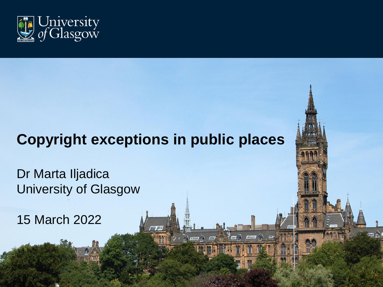

# **Copyright exceptions in public places**

 $\triangle$ 

 $\mathbf{H}$ 

mna

 $5m$ 

 $\sqrt{m}$ 

Dr Marta Iljadica University of Glasgow

15 March 2022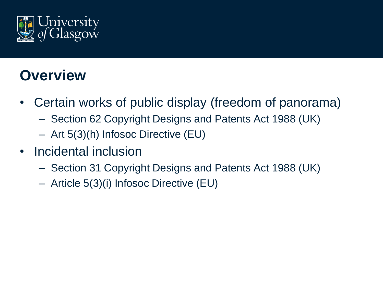

## **Overview**

- Certain works of public display (freedom of panorama)
	- Section 62 Copyright Designs and Patents Act 1988 (UK)
	- Art 5(3)(h) Infosoc Directive (EU)
- Incidental inclusion
	- Section 31 Copyright Designs and Patents Act 1988 (UK)
	- Article 5(3)(i) Infosoc Directive (EU)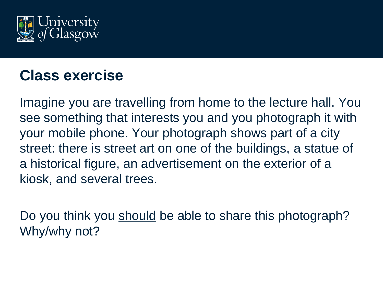

#### **Class exercise**

Imagine you are travelling from home to the lecture hall. You see something that interests you and you photograph it with your mobile phone. Your photograph shows part of a city street: there is street art on one of the buildings, a statue of a historical figure, an advertisement on the exterior of a kiosk, and several trees.

Do you think you should be able to share this photograph? Why/why not?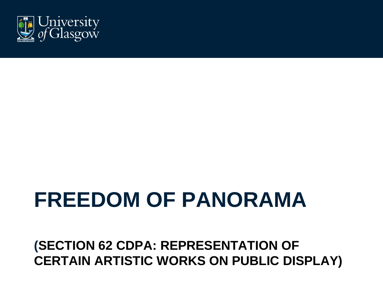#### **(SECTION 62 CDPA: REPRESENTATION OF CERTAIN ARTISTIC WORKS ON PUBLIC DISPLAY)**

# **FREEDOM OF PANORAMA**

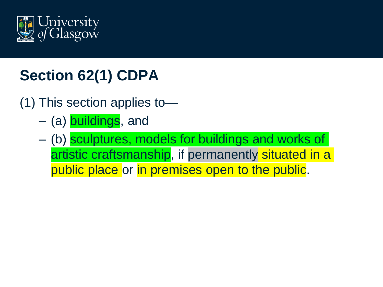

# **Section 62(1) CDPA**

- (1) This section applies to—
	- (a) buildings, and
	- (b) sculptures, models for buildings and works of artistic craftsmanship, if permanently situated in a public place or in premises open to the public.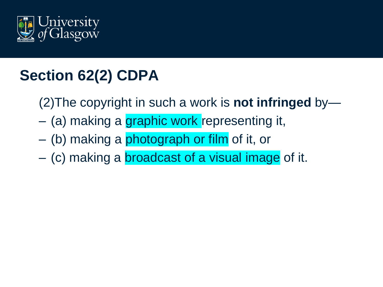

# **Section 62(2) CDPA**

- (2)The copyright in such a work is **not infringed** by—
- (a) making a graphic work representing it,
- (b) making a photograph or film of it, or
- (c) making a broadcast of a visual image of it.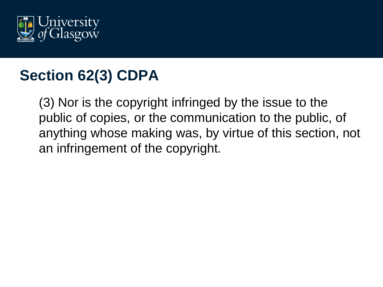

### **Section 62(3) CDPA**

(3) Nor is the copyright infringed by the issue to the public of copies, or the communication to the public, of anything whose making was, by virtue of this section, not an infringement of the copyright.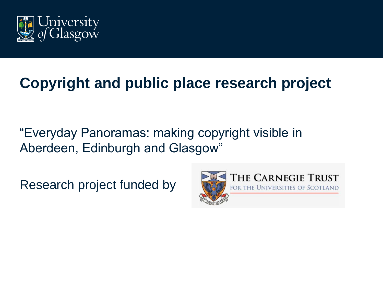

# **Copyright and public place research project**

"Everyday Panoramas: making copyright visible in Aberdeen, Edinburgh and Glasgow"

Research project funded by

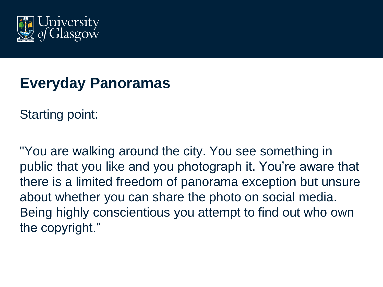

#### **Everyday Panoramas**

Starting point:

"You are walking around the city. You see something in public that you like and you photograph it. You're aware that there is a limited freedom of panorama exception but unsure about whether you can share the photo on social media. Being highly conscientious you attempt to find out who own the copyright."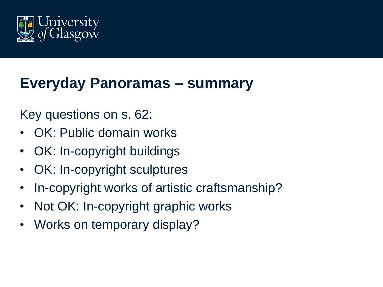

#### **Everyday Panoramas – summary**

#### Key questions on s. 62:

- OK: Public domain works
- OK: In-copyright buildings
- OK: In-copyright sculptures
- In-copyright works of artistic craftsmanship?
- Not OK: In-copyright graphic works
- Works on temporary display?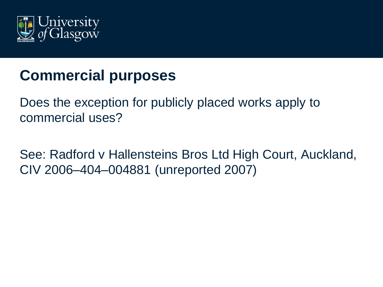

# **Commercial purposes**

Does the exception for publicly placed works apply to commercial uses?

See: Radford v Hallensteins Bros Ltd High Court, Auckland, CIV 2006–404–004881 (unreported 2007)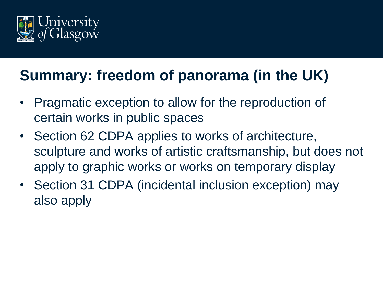

# **Summary: freedom of panorama (in the UK)**

- Pragmatic exception to allow for the reproduction of certain works in public spaces
- Section 62 CDPA applies to works of architecture, sculpture and works of artistic craftsmanship, but does not apply to graphic works or works on temporary display
- Section 31 CDPA (incidental inclusion exception) may also apply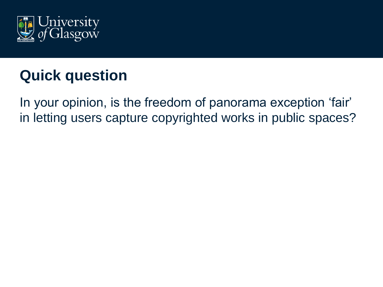

# **Quick question**

In your opinion, is the freedom of panorama exception 'fair' in letting users capture copyrighted works in public spaces?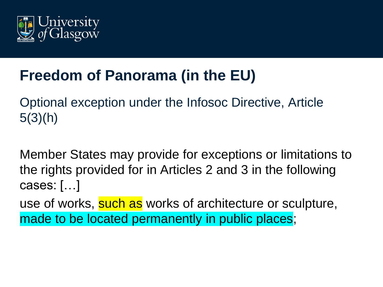

# **Freedom of Panorama (in the EU)**

Optional exception under the Infosoc Directive, Article  $5(3)(h)$ 

Member States may provide for exceptions or limitations to the rights provided for in Articles 2 and 3 in the following cases: […]

use of works, such as works of architecture or sculpture, made to be located permanently in public places;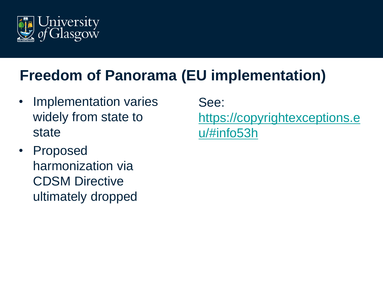

# **Freedom of Panorama (EU implementation)**

- Implementation varies widely from state to state
- Proposed harmonization via CDSM Directive ultimately dropped

See: [https://copyrightexceptions.e](https://copyrightexceptions.eu/#info53h) u/#info53h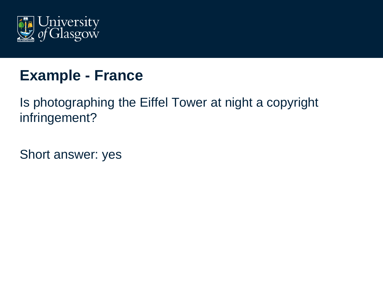

#### **Example - France**

Is photographing the Eiffel Tower at night a copyright infringement?

Short answer: yes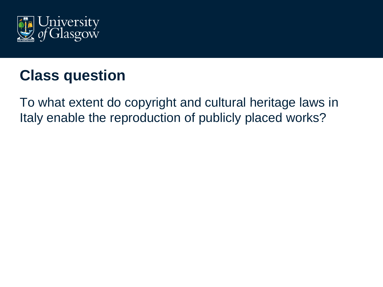

# **Class question**

To what extent do copyright and cultural heritage laws in Italy enable the reproduction of publicly placed works?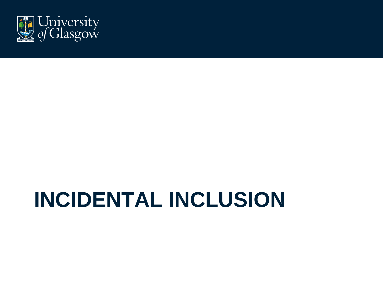

# **INCIDENTAL INCLUSION**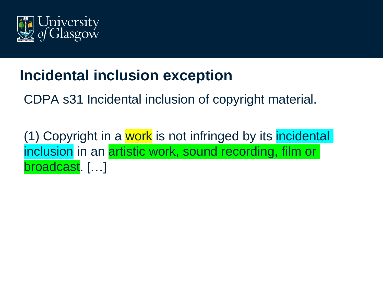

# **Incidental inclusion exception**

CDPA s31 Incidental inclusion of copyright material.

(1) Copyright in a work is not infringed by its incidental inclusion in an artistic work, sound recording, film or broadcast. […]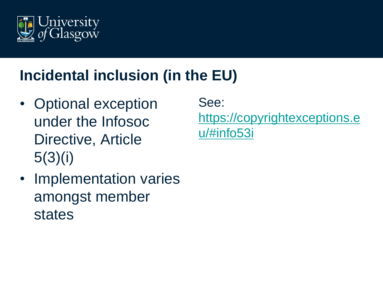

# **Incidental inclusion (in the EU)**

- Optional exception under the Infosoc Directive, Article 5(3)(i)
- Implementation varies amongst member states

See: [https://copyrightexceptions.e](https://copyrightexceptions.eu/#info53i) u/#info53i